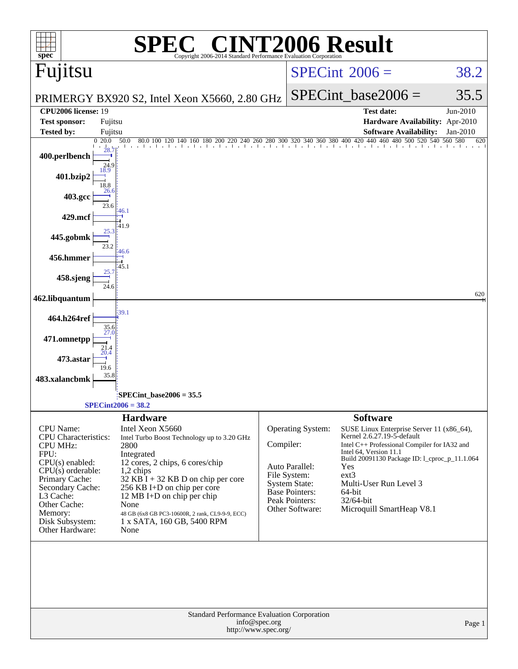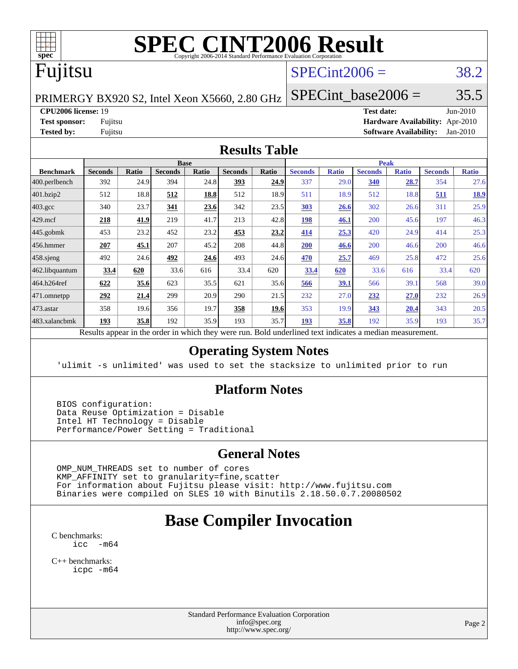

# **[SPEC CINT2006 Result](http://www.spec.org/auto/cpu2006/Docs/result-fields.html#SPECCINT2006Result)**

# Fujitsu

### $SPECint2006 = 38.2$  $SPECint2006 = 38.2$

PRIMERGY BX920 S2, Intel Xeon X5660, 2.80 GHz

SPECint base2006 =  $35.5$ 

**[CPU2006 license:](http://www.spec.org/auto/cpu2006/Docs/result-fields.html#CPU2006license)** 19 **[Test date:](http://www.spec.org/auto/cpu2006/Docs/result-fields.html#Testdate)** Jun-2010

**[Test sponsor:](http://www.spec.org/auto/cpu2006/Docs/result-fields.html#Testsponsor)** Fujitsu **[Hardware Availability:](http://www.spec.org/auto/cpu2006/Docs/result-fields.html#HardwareAvailability)** Apr-2010 **[Tested by:](http://www.spec.org/auto/cpu2006/Docs/result-fields.html#Testedby)** Fujitsu **[Software Availability:](http://www.spec.org/auto/cpu2006/Docs/result-fields.html#SoftwareAvailability)** Jan-2010

#### **[Results Table](http://www.spec.org/auto/cpu2006/Docs/result-fields.html#ResultsTable)**

| <b>Base</b>    |              |                |              |                | <b>Peak</b> |                |              |                |              |                |              |
|----------------|--------------|----------------|--------------|----------------|-------------|----------------|--------------|----------------|--------------|----------------|--------------|
| <b>Seconds</b> | <b>Ratio</b> | <b>Seconds</b> | <b>Ratio</b> | <b>Seconds</b> | Ratio       | <b>Seconds</b> | <b>Ratio</b> | <b>Seconds</b> | <b>Ratio</b> | <b>Seconds</b> | <b>Ratio</b> |
| 392            | 24.9         | 394            | 24.8         | 393            | 24.9        | 337            | 29.0         | 340            | 28.7         | 354            | 27.6         |
| 512            | 18.8         | 512            | 18.8         | 512            | 18.9        | 511            | 18.9         | 512            | 18.8         | 511            | <u>18.9</u>  |
| 340            | 23.7         | 341            | 23.6         | 342            | 23.5        | 303            | 26.6         | 302            | 26.6         | 311            | 25.9         |
| 218            | <u>41.9</u>  | 219            | 41.7         | 213            | 42.8        | 198            | 46.1         | 200            | 45.6         | 197            | 46.3         |
| 453            | 23.2         | 452            | 23.2         | 453            | 23.2        | 414            | 25.3         | 420            | 24.9         | 414            | 25.3         |
| 207            | 45.1         | 207            | 45.2         | 208            | 44.8        | 200            | 46.6         | 200            | 46.6         | 200            | 46.6         |
| 492            | 24.6         | 492            | 24.6         | 493            | 24.6        | 470            | 25.7         | 469            | 25.8         | 472            | 25.6         |
| 33.4           | 620          | 33.6           | 616          | 33.4           | 620         | 33.4           | 620          | 33.6           | 616          | 33.4           | 620          |
| 622            | 35.6         | 623            | 35.5         | 621            | 35.6        | 566            | 39.1         | 566            | 39.1         | 568            | 39.0         |
| 292            | 21.4         | 299            | 20.9         | 290            | 21.5        | 232            | 27.0         | 232            | 27.0         | 232            | 26.9         |
| 358            | 19.6         | 356            | 19.7         | 358            | 19.6        | 353            | 19.9         | 343            | 20.4         | 343            | 20.5         |
| 193            | 35.8         | 192            | 35.9         | 193            | 35.7        | 193            | 35.8         | 192            | 35.9         | 193            | 35.7         |
|                |              |                |              |                |             |                |              |                |              |                |              |

Results appear in the [order in which they were run.](http://www.spec.org/auto/cpu2006/Docs/result-fields.html#RunOrder) Bold underlined text [indicates a median measurement.](http://www.spec.org/auto/cpu2006/Docs/result-fields.html#Median)

#### **[Operating System Notes](http://www.spec.org/auto/cpu2006/Docs/result-fields.html#OperatingSystemNotes)**

'ulimit -s unlimited' was used to set the stacksize to unlimited prior to run

#### **[Platform Notes](http://www.spec.org/auto/cpu2006/Docs/result-fields.html#PlatformNotes)**

 BIOS configuration: Data Reuse Optimization = Disable Intel HT Technology = Disable Performance/Power Setting = Traditional

#### **[General Notes](http://www.spec.org/auto/cpu2006/Docs/result-fields.html#GeneralNotes)**

 OMP\_NUM\_THREADS set to number of cores KMP\_AFFINITY set to granularity=fine,scatter For information about Fujitsu please visit: <http://www.fujitsu.com> Binaries were compiled on SLES 10 with Binutils 2.18.50.0.7.20080502

## **[Base Compiler Invocation](http://www.spec.org/auto/cpu2006/Docs/result-fields.html#BaseCompilerInvocation)**

[C benchmarks](http://www.spec.org/auto/cpu2006/Docs/result-fields.html#Cbenchmarks): [icc -m64](http://www.spec.org/cpu2006/results/res2010q3/cpu2006-20100716-12447.flags.html#user_CCbase_intel_icc_64bit_f346026e86af2a669e726fe758c88044)

[C++ benchmarks:](http://www.spec.org/auto/cpu2006/Docs/result-fields.html#CXXbenchmarks) [icpc -m64](http://www.spec.org/cpu2006/results/res2010q3/cpu2006-20100716-12447.flags.html#user_CXXbase_intel_icpc_64bit_fc66a5337ce925472a5c54ad6a0de310)

> Standard Performance Evaluation Corporation [info@spec.org](mailto:info@spec.org) <http://www.spec.org/>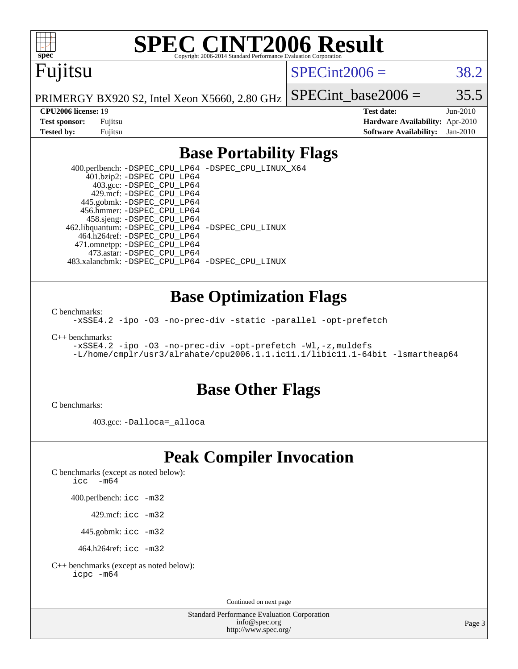

# **[SPEC CINT2006 Result](http://www.spec.org/auto/cpu2006/Docs/result-fields.html#SPECCINT2006Result)**

# Fujitsu

#### $SPECint2006 = 38.2$  $SPECint2006 = 38.2$

PRIMERGY BX920 S2, Intel Xeon X5660, 2.80 GHz SPECint base2006 =  $35.5$ 

**[CPU2006 license:](http://www.spec.org/auto/cpu2006/Docs/result-fields.html#CPU2006license)** 19 **[Test date:](http://www.spec.org/auto/cpu2006/Docs/result-fields.html#Testdate)** Jun-2010 **[Test sponsor:](http://www.spec.org/auto/cpu2006/Docs/result-fields.html#Testsponsor)** Fujitsu **[Hardware Availability:](http://www.spec.org/auto/cpu2006/Docs/result-fields.html#HardwareAvailability)** Apr-2010 **[Tested by:](http://www.spec.org/auto/cpu2006/Docs/result-fields.html#Testedby)** Fujitsu **[Software Availability:](http://www.spec.org/auto/cpu2006/Docs/result-fields.html#SoftwareAvailability)** Jan-2010

#### **[Base Portability Flags](http://www.spec.org/auto/cpu2006/Docs/result-fields.html#BasePortabilityFlags)**

 400.perlbench: [-DSPEC\\_CPU\\_LP64](http://www.spec.org/cpu2006/results/res2010q3/cpu2006-20100716-12447.flags.html#b400.perlbench_basePORTABILITY_DSPEC_CPU_LP64) [-DSPEC\\_CPU\\_LINUX\\_X64](http://www.spec.org/cpu2006/results/res2010q3/cpu2006-20100716-12447.flags.html#b400.perlbench_baseCPORTABILITY_DSPEC_CPU_LINUX_X64) 401.bzip2: [-DSPEC\\_CPU\\_LP64](http://www.spec.org/cpu2006/results/res2010q3/cpu2006-20100716-12447.flags.html#suite_basePORTABILITY401_bzip2_DSPEC_CPU_LP64) 403.gcc: [-DSPEC\\_CPU\\_LP64](http://www.spec.org/cpu2006/results/res2010q3/cpu2006-20100716-12447.flags.html#suite_basePORTABILITY403_gcc_DSPEC_CPU_LP64) 429.mcf: [-DSPEC\\_CPU\\_LP64](http://www.spec.org/cpu2006/results/res2010q3/cpu2006-20100716-12447.flags.html#suite_basePORTABILITY429_mcf_DSPEC_CPU_LP64) 445.gobmk: [-DSPEC\\_CPU\\_LP64](http://www.spec.org/cpu2006/results/res2010q3/cpu2006-20100716-12447.flags.html#suite_basePORTABILITY445_gobmk_DSPEC_CPU_LP64) 456.hmmer: [-DSPEC\\_CPU\\_LP64](http://www.spec.org/cpu2006/results/res2010q3/cpu2006-20100716-12447.flags.html#suite_basePORTABILITY456_hmmer_DSPEC_CPU_LP64) 458.sjeng: [-DSPEC\\_CPU\\_LP64](http://www.spec.org/cpu2006/results/res2010q3/cpu2006-20100716-12447.flags.html#suite_basePORTABILITY458_sjeng_DSPEC_CPU_LP64) 462.libquantum: [-DSPEC\\_CPU\\_LP64](http://www.spec.org/cpu2006/results/res2010q3/cpu2006-20100716-12447.flags.html#suite_basePORTABILITY462_libquantum_DSPEC_CPU_LP64) [-DSPEC\\_CPU\\_LINUX](http://www.spec.org/cpu2006/results/res2010q3/cpu2006-20100716-12447.flags.html#b462.libquantum_baseCPORTABILITY_DSPEC_CPU_LINUX) 464.h264ref: [-DSPEC\\_CPU\\_LP64](http://www.spec.org/cpu2006/results/res2010q3/cpu2006-20100716-12447.flags.html#suite_basePORTABILITY464_h264ref_DSPEC_CPU_LP64) 471.omnetpp: [-DSPEC\\_CPU\\_LP64](http://www.spec.org/cpu2006/results/res2010q3/cpu2006-20100716-12447.flags.html#suite_basePORTABILITY471_omnetpp_DSPEC_CPU_LP64) 473.astar: [-DSPEC\\_CPU\\_LP64](http://www.spec.org/cpu2006/results/res2010q3/cpu2006-20100716-12447.flags.html#suite_basePORTABILITY473_astar_DSPEC_CPU_LP64) 483.xalancbmk: [-DSPEC\\_CPU\\_LP64](http://www.spec.org/cpu2006/results/res2010q3/cpu2006-20100716-12447.flags.html#suite_basePORTABILITY483_xalancbmk_DSPEC_CPU_LP64) [-DSPEC\\_CPU\\_LINUX](http://www.spec.org/cpu2006/results/res2010q3/cpu2006-20100716-12447.flags.html#b483.xalancbmk_baseCXXPORTABILITY_DSPEC_CPU_LINUX)

#### **[Base Optimization Flags](http://www.spec.org/auto/cpu2006/Docs/result-fields.html#BaseOptimizationFlags)**

[C benchmarks](http://www.spec.org/auto/cpu2006/Docs/result-fields.html#Cbenchmarks):

[-xSSE4.2](http://www.spec.org/cpu2006/results/res2010q3/cpu2006-20100716-12447.flags.html#user_CCbase_f-xSSE42_f91528193cf0b216347adb8b939d4107) [-ipo](http://www.spec.org/cpu2006/results/res2010q3/cpu2006-20100716-12447.flags.html#user_CCbase_f-ipo) [-O3](http://www.spec.org/cpu2006/results/res2010q3/cpu2006-20100716-12447.flags.html#user_CCbase_f-O3) [-no-prec-div](http://www.spec.org/cpu2006/results/res2010q3/cpu2006-20100716-12447.flags.html#user_CCbase_f-no-prec-div) [-static](http://www.spec.org/cpu2006/results/res2010q3/cpu2006-20100716-12447.flags.html#user_CCbase_f-static) [-parallel](http://www.spec.org/cpu2006/results/res2010q3/cpu2006-20100716-12447.flags.html#user_CCbase_f-parallel) [-opt-prefetch](http://www.spec.org/cpu2006/results/res2010q3/cpu2006-20100716-12447.flags.html#user_CCbase_f-opt-prefetch)

[C++ benchmarks:](http://www.spec.org/auto/cpu2006/Docs/result-fields.html#CXXbenchmarks)

[-xSSE4.2](http://www.spec.org/cpu2006/results/res2010q3/cpu2006-20100716-12447.flags.html#user_CXXbase_f-xSSE42_f91528193cf0b216347adb8b939d4107) [-ipo](http://www.spec.org/cpu2006/results/res2010q3/cpu2006-20100716-12447.flags.html#user_CXXbase_f-ipo) [-O3](http://www.spec.org/cpu2006/results/res2010q3/cpu2006-20100716-12447.flags.html#user_CXXbase_f-O3) [-no-prec-div](http://www.spec.org/cpu2006/results/res2010q3/cpu2006-20100716-12447.flags.html#user_CXXbase_f-no-prec-div) [-opt-prefetch](http://www.spec.org/cpu2006/results/res2010q3/cpu2006-20100716-12447.flags.html#user_CXXbase_f-opt-prefetch) [-Wl,-z,muldefs](http://www.spec.org/cpu2006/results/res2010q3/cpu2006-20100716-12447.flags.html#user_CXXbase_link_force_multiple1_74079c344b956b9658436fd1b6dd3a8a) [-L/home/cmplr/usr3/alrahate/cpu2006.1.1.ic11.1/libic11.1-64bit -lsmartheap64](http://www.spec.org/cpu2006/results/res2010q3/cpu2006-20100716-12447.flags.html#user_CXXbase_SmartHeap64_e2306cda84805d1ab360117a79ff779c)

#### **[Base Other Flags](http://www.spec.org/auto/cpu2006/Docs/result-fields.html#BaseOtherFlags)**

[C benchmarks](http://www.spec.org/auto/cpu2006/Docs/result-fields.html#Cbenchmarks):

403.gcc: [-Dalloca=\\_alloca](http://www.spec.org/cpu2006/results/res2010q3/cpu2006-20100716-12447.flags.html#b403.gcc_baseEXTRA_CFLAGS_Dalloca_be3056838c12de2578596ca5467af7f3)

## **[Peak Compiler Invocation](http://www.spec.org/auto/cpu2006/Docs/result-fields.html#PeakCompilerInvocation)**

[C benchmarks \(except as noted below\)](http://www.spec.org/auto/cpu2006/Docs/result-fields.html#Cbenchmarksexceptasnotedbelow):

icc  $-m64$ 

400.perlbench: [icc -m32](http://www.spec.org/cpu2006/results/res2010q3/cpu2006-20100716-12447.flags.html#user_peakCCLD400_perlbench_intel_icc_32bit_a6a621f8d50482236b970c6ac5f55f93)

429.mcf: [icc -m32](http://www.spec.org/cpu2006/results/res2010q3/cpu2006-20100716-12447.flags.html#user_peakCCLD429_mcf_intel_icc_32bit_a6a621f8d50482236b970c6ac5f55f93)

445.gobmk: [icc -m32](http://www.spec.org/cpu2006/results/res2010q3/cpu2006-20100716-12447.flags.html#user_peakCCLD445_gobmk_intel_icc_32bit_a6a621f8d50482236b970c6ac5f55f93)

464.h264ref: [icc -m32](http://www.spec.org/cpu2006/results/res2010q3/cpu2006-20100716-12447.flags.html#user_peakCCLD464_h264ref_intel_icc_32bit_a6a621f8d50482236b970c6ac5f55f93)

[C++ benchmarks \(except as noted below\):](http://www.spec.org/auto/cpu2006/Docs/result-fields.html#CXXbenchmarksexceptasnotedbelow) [icpc -m64](http://www.spec.org/cpu2006/results/res2010q3/cpu2006-20100716-12447.flags.html#user_CXXpeak_intel_icpc_64bit_fc66a5337ce925472a5c54ad6a0de310)

Continued on next page

Standard Performance Evaluation Corporation [info@spec.org](mailto:info@spec.org) <http://www.spec.org/>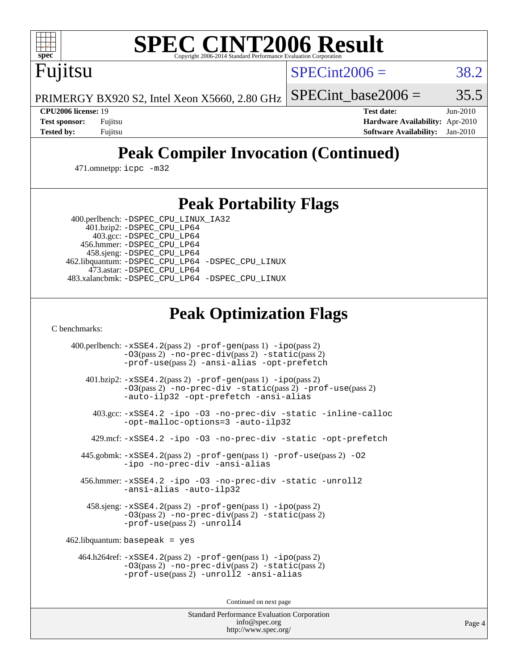

# **[SPEC CINT2006 Result](http://www.spec.org/auto/cpu2006/Docs/result-fields.html#SPECCINT2006Result)**

Fujitsu

 $SPECint2006 = 38.2$  $SPECint2006 = 38.2$ 

PRIMERGY BX920 S2, Intel Xeon X5660, 2.80 GHz SPECint base2006 =  $35.5$ 

**[CPU2006 license:](http://www.spec.org/auto/cpu2006/Docs/result-fields.html#CPU2006license)** 19 **[Test date:](http://www.spec.org/auto/cpu2006/Docs/result-fields.html#Testdate)** Jun-2010 **[Test sponsor:](http://www.spec.org/auto/cpu2006/Docs/result-fields.html#Testsponsor)** Fujitsu **[Hardware Availability:](http://www.spec.org/auto/cpu2006/Docs/result-fields.html#HardwareAvailability)** Apr-2010 **[Tested by:](http://www.spec.org/auto/cpu2006/Docs/result-fields.html#Testedby)** Fujitsu **[Software Availability:](http://www.spec.org/auto/cpu2006/Docs/result-fields.html#SoftwareAvailability)** Jan-2010

# **[Peak Compiler Invocation \(Continued\)](http://www.spec.org/auto/cpu2006/Docs/result-fields.html#PeakCompilerInvocation)**

471.omnetpp: [icpc -m32](http://www.spec.org/cpu2006/results/res2010q3/cpu2006-20100716-12447.flags.html#user_peakCXXLD471_omnetpp_intel_icpc_32bit_4e5a5ef1a53fd332b3c49e69c3330699)

## **[Peak Portability Flags](http://www.spec.org/auto/cpu2006/Docs/result-fields.html#PeakPortabilityFlags)**

400.perlbench: [-DSPEC\\_CPU\\_LINUX\\_IA32](http://www.spec.org/cpu2006/results/res2010q3/cpu2006-20100716-12447.flags.html#b400.perlbench_peakCPORTABILITY_DSPEC_CPU_LINUX_IA32)

 401.bzip2: [-DSPEC\\_CPU\\_LP64](http://www.spec.org/cpu2006/results/res2010q3/cpu2006-20100716-12447.flags.html#suite_peakPORTABILITY401_bzip2_DSPEC_CPU_LP64) 403.gcc: [-DSPEC\\_CPU\\_LP64](http://www.spec.org/cpu2006/results/res2010q3/cpu2006-20100716-12447.flags.html#suite_peakPORTABILITY403_gcc_DSPEC_CPU_LP64) 456.hmmer: [-DSPEC\\_CPU\\_LP64](http://www.spec.org/cpu2006/results/res2010q3/cpu2006-20100716-12447.flags.html#suite_peakPORTABILITY456_hmmer_DSPEC_CPU_LP64) 458.sjeng: [-DSPEC\\_CPU\\_LP64](http://www.spec.org/cpu2006/results/res2010q3/cpu2006-20100716-12447.flags.html#suite_peakPORTABILITY458_sjeng_DSPEC_CPU_LP64) 462.libquantum: [-DSPEC\\_CPU\\_LP64](http://www.spec.org/cpu2006/results/res2010q3/cpu2006-20100716-12447.flags.html#suite_peakPORTABILITY462_libquantum_DSPEC_CPU_LP64) [-DSPEC\\_CPU\\_LINUX](http://www.spec.org/cpu2006/results/res2010q3/cpu2006-20100716-12447.flags.html#b462.libquantum_peakCPORTABILITY_DSPEC_CPU_LINUX) 473.astar: [-DSPEC\\_CPU\\_LP64](http://www.spec.org/cpu2006/results/res2010q3/cpu2006-20100716-12447.flags.html#suite_peakPORTABILITY473_astar_DSPEC_CPU_LP64) 483.xalancbmk: [-DSPEC\\_CPU\\_LP64](http://www.spec.org/cpu2006/results/res2010q3/cpu2006-20100716-12447.flags.html#suite_peakPORTABILITY483_xalancbmk_DSPEC_CPU_LP64) [-DSPEC\\_CPU\\_LINUX](http://www.spec.org/cpu2006/results/res2010q3/cpu2006-20100716-12447.flags.html#b483.xalancbmk_peakCXXPORTABILITY_DSPEC_CPU_LINUX)

# **[Peak Optimization Flags](http://www.spec.org/auto/cpu2006/Docs/result-fields.html#PeakOptimizationFlags)**

[C benchmarks](http://www.spec.org/auto/cpu2006/Docs/result-fields.html#Cbenchmarks):

 400.perlbench: [-xSSE4.2](http://www.spec.org/cpu2006/results/res2010q3/cpu2006-20100716-12447.flags.html#user_peakPASS2_CFLAGSPASS2_LDCFLAGS400_perlbench_f-xSSE42_f91528193cf0b216347adb8b939d4107)(pass 2) [-prof-gen](http://www.spec.org/cpu2006/results/res2010q3/cpu2006-20100716-12447.flags.html#user_peakPASS1_CFLAGSPASS1_LDCFLAGS400_perlbench_prof_gen_e43856698f6ca7b7e442dfd80e94a8fc)(pass 1) [-ipo](http://www.spec.org/cpu2006/results/res2010q3/cpu2006-20100716-12447.flags.html#user_peakPASS2_CFLAGSPASS2_LDCFLAGS400_perlbench_f-ipo)(pass 2) [-O3](http://www.spec.org/cpu2006/results/res2010q3/cpu2006-20100716-12447.flags.html#user_peakPASS2_CFLAGSPASS2_LDCFLAGS400_perlbench_f-O3)(pass 2) [-no-prec-div](http://www.spec.org/cpu2006/results/res2010q3/cpu2006-20100716-12447.flags.html#user_peakPASS2_CFLAGSPASS2_LDCFLAGS400_perlbench_f-no-prec-div)(pass 2) [-static](http://www.spec.org/cpu2006/results/res2010q3/cpu2006-20100716-12447.flags.html#user_peakPASS2_CFLAGSPASS2_LDCFLAGS400_perlbench_f-static)(pass 2) [-prof-use](http://www.spec.org/cpu2006/results/res2010q3/cpu2006-20100716-12447.flags.html#user_peakPASS2_CFLAGSPASS2_LDCFLAGS400_perlbench_prof_use_bccf7792157ff70d64e32fe3e1250b55)(pass 2) [-ansi-alias](http://www.spec.org/cpu2006/results/res2010q3/cpu2006-20100716-12447.flags.html#user_peakCOPTIMIZE400_perlbench_f-ansi-alias) [-opt-prefetch](http://www.spec.org/cpu2006/results/res2010q3/cpu2006-20100716-12447.flags.html#user_peakCOPTIMIZE400_perlbench_f-opt-prefetch) 401.bzip2: [-xSSE4.2](http://www.spec.org/cpu2006/results/res2010q3/cpu2006-20100716-12447.flags.html#user_peakPASS2_CFLAGSPASS2_LDCFLAGS401_bzip2_f-xSSE42_f91528193cf0b216347adb8b939d4107)(pass 2) [-prof-gen](http://www.spec.org/cpu2006/results/res2010q3/cpu2006-20100716-12447.flags.html#user_peakPASS1_CFLAGSPASS1_LDCFLAGS401_bzip2_prof_gen_e43856698f6ca7b7e442dfd80e94a8fc)(pass 1) [-ipo](http://www.spec.org/cpu2006/results/res2010q3/cpu2006-20100716-12447.flags.html#user_peakPASS2_CFLAGSPASS2_LDCFLAGS401_bzip2_f-ipo)(pass 2) [-O3](http://www.spec.org/cpu2006/results/res2010q3/cpu2006-20100716-12447.flags.html#user_peakPASS2_CFLAGSPASS2_LDCFLAGS401_bzip2_f-O3)(pass 2) [-no-prec-div](http://www.spec.org/cpu2006/results/res2010q3/cpu2006-20100716-12447.flags.html#user_peakCOPTIMIZEPASS2_CFLAGSPASS2_LDCFLAGS401_bzip2_f-no-prec-div) [-static](http://www.spec.org/cpu2006/results/res2010q3/cpu2006-20100716-12447.flags.html#user_peakPASS2_CFLAGSPASS2_LDCFLAGS401_bzip2_f-static)(pass 2) [-prof-use](http://www.spec.org/cpu2006/results/res2010q3/cpu2006-20100716-12447.flags.html#user_peakPASS2_CFLAGSPASS2_LDCFLAGS401_bzip2_prof_use_bccf7792157ff70d64e32fe3e1250b55)(pass 2) [-auto-ilp32](http://www.spec.org/cpu2006/results/res2010q3/cpu2006-20100716-12447.flags.html#user_peakCOPTIMIZE401_bzip2_f-auto-ilp32) [-opt-prefetch](http://www.spec.org/cpu2006/results/res2010q3/cpu2006-20100716-12447.flags.html#user_peakCOPTIMIZE401_bzip2_f-opt-prefetch) [-ansi-alias](http://www.spec.org/cpu2006/results/res2010q3/cpu2006-20100716-12447.flags.html#user_peakCOPTIMIZE401_bzip2_f-ansi-alias) 403.gcc: [-xSSE4.2](http://www.spec.org/cpu2006/results/res2010q3/cpu2006-20100716-12447.flags.html#user_peakCOPTIMIZE403_gcc_f-xSSE42_f91528193cf0b216347adb8b939d4107) [-ipo](http://www.spec.org/cpu2006/results/res2010q3/cpu2006-20100716-12447.flags.html#user_peakCOPTIMIZE403_gcc_f-ipo) [-O3](http://www.spec.org/cpu2006/results/res2010q3/cpu2006-20100716-12447.flags.html#user_peakCOPTIMIZE403_gcc_f-O3) [-no-prec-div](http://www.spec.org/cpu2006/results/res2010q3/cpu2006-20100716-12447.flags.html#user_peakCOPTIMIZE403_gcc_f-no-prec-div) [-static](http://www.spec.org/cpu2006/results/res2010q3/cpu2006-20100716-12447.flags.html#user_peakCOPTIMIZE403_gcc_f-static) [-inline-calloc](http://www.spec.org/cpu2006/results/res2010q3/cpu2006-20100716-12447.flags.html#user_peakCOPTIMIZE403_gcc_f-inline-calloc) [-opt-malloc-options=3](http://www.spec.org/cpu2006/results/res2010q3/cpu2006-20100716-12447.flags.html#user_peakCOPTIMIZE403_gcc_f-opt-malloc-options_13ab9b803cf986b4ee62f0a5998c2238) [-auto-ilp32](http://www.spec.org/cpu2006/results/res2010q3/cpu2006-20100716-12447.flags.html#user_peakCOPTIMIZE403_gcc_f-auto-ilp32) 429.mcf: [-xSSE4.2](http://www.spec.org/cpu2006/results/res2010q3/cpu2006-20100716-12447.flags.html#user_peakCOPTIMIZE429_mcf_f-xSSE42_f91528193cf0b216347adb8b939d4107) [-ipo](http://www.spec.org/cpu2006/results/res2010q3/cpu2006-20100716-12447.flags.html#user_peakCOPTIMIZE429_mcf_f-ipo) [-O3](http://www.spec.org/cpu2006/results/res2010q3/cpu2006-20100716-12447.flags.html#user_peakCOPTIMIZE429_mcf_f-O3) [-no-prec-div](http://www.spec.org/cpu2006/results/res2010q3/cpu2006-20100716-12447.flags.html#user_peakCOPTIMIZE429_mcf_f-no-prec-div) [-static](http://www.spec.org/cpu2006/results/res2010q3/cpu2006-20100716-12447.flags.html#user_peakCOPTIMIZE429_mcf_f-static) [-opt-prefetch](http://www.spec.org/cpu2006/results/res2010q3/cpu2006-20100716-12447.flags.html#user_peakCOPTIMIZE429_mcf_f-opt-prefetch) 445.gobmk: [-xSSE4.2](http://www.spec.org/cpu2006/results/res2010q3/cpu2006-20100716-12447.flags.html#user_peakPASS2_CFLAGSPASS2_LDCFLAGS445_gobmk_f-xSSE42_f91528193cf0b216347adb8b939d4107)(pass 2) [-prof-gen](http://www.spec.org/cpu2006/results/res2010q3/cpu2006-20100716-12447.flags.html#user_peakPASS1_CFLAGSPASS1_LDCFLAGS445_gobmk_prof_gen_e43856698f6ca7b7e442dfd80e94a8fc)(pass 1) [-prof-use](http://www.spec.org/cpu2006/results/res2010q3/cpu2006-20100716-12447.flags.html#user_peakPASS2_CFLAGSPASS2_LDCFLAGS445_gobmk_prof_use_bccf7792157ff70d64e32fe3e1250b55)(pass 2) [-O2](http://www.spec.org/cpu2006/results/res2010q3/cpu2006-20100716-12447.flags.html#user_peakCOPTIMIZE445_gobmk_f-O2) [-ipo](http://www.spec.org/cpu2006/results/res2010q3/cpu2006-20100716-12447.flags.html#user_peakCOPTIMIZE445_gobmk_f-ipo) [-no-prec-div](http://www.spec.org/cpu2006/results/res2010q3/cpu2006-20100716-12447.flags.html#user_peakCOPTIMIZE445_gobmk_f-no-prec-div) [-ansi-alias](http://www.spec.org/cpu2006/results/res2010q3/cpu2006-20100716-12447.flags.html#user_peakCOPTIMIZE445_gobmk_f-ansi-alias) 456.hmmer: [-xSSE4.2](http://www.spec.org/cpu2006/results/res2010q3/cpu2006-20100716-12447.flags.html#user_peakCOPTIMIZE456_hmmer_f-xSSE42_f91528193cf0b216347adb8b939d4107) [-ipo](http://www.spec.org/cpu2006/results/res2010q3/cpu2006-20100716-12447.flags.html#user_peakCOPTIMIZE456_hmmer_f-ipo) [-O3](http://www.spec.org/cpu2006/results/res2010q3/cpu2006-20100716-12447.flags.html#user_peakCOPTIMIZE456_hmmer_f-O3) [-no-prec-div](http://www.spec.org/cpu2006/results/res2010q3/cpu2006-20100716-12447.flags.html#user_peakCOPTIMIZE456_hmmer_f-no-prec-div) [-static](http://www.spec.org/cpu2006/results/res2010q3/cpu2006-20100716-12447.flags.html#user_peakCOPTIMIZE456_hmmer_f-static) [-unroll2](http://www.spec.org/cpu2006/results/res2010q3/cpu2006-20100716-12447.flags.html#user_peakCOPTIMIZE456_hmmer_f-unroll_784dae83bebfb236979b41d2422d7ec2) [-ansi-alias](http://www.spec.org/cpu2006/results/res2010q3/cpu2006-20100716-12447.flags.html#user_peakCOPTIMIZE456_hmmer_f-ansi-alias) [-auto-ilp32](http://www.spec.org/cpu2006/results/res2010q3/cpu2006-20100716-12447.flags.html#user_peakCOPTIMIZE456_hmmer_f-auto-ilp32) 458.sjeng: [-xSSE4.2](http://www.spec.org/cpu2006/results/res2010q3/cpu2006-20100716-12447.flags.html#user_peakPASS2_CFLAGSPASS2_LDCFLAGS458_sjeng_f-xSSE42_f91528193cf0b216347adb8b939d4107)(pass 2) [-prof-gen](http://www.spec.org/cpu2006/results/res2010q3/cpu2006-20100716-12447.flags.html#user_peakPASS1_CFLAGSPASS1_LDCFLAGS458_sjeng_prof_gen_e43856698f6ca7b7e442dfd80e94a8fc)(pass 1) [-ipo](http://www.spec.org/cpu2006/results/res2010q3/cpu2006-20100716-12447.flags.html#user_peakPASS2_CFLAGSPASS2_LDCFLAGS458_sjeng_f-ipo)(pass 2) [-O3](http://www.spec.org/cpu2006/results/res2010q3/cpu2006-20100716-12447.flags.html#user_peakPASS2_CFLAGSPASS2_LDCFLAGS458_sjeng_f-O3)(pass 2) [-no-prec-div](http://www.spec.org/cpu2006/results/res2010q3/cpu2006-20100716-12447.flags.html#user_peakPASS2_CFLAGSPASS2_LDCFLAGS458_sjeng_f-no-prec-div)(pass 2) [-static](http://www.spec.org/cpu2006/results/res2010q3/cpu2006-20100716-12447.flags.html#user_peakPASS2_CFLAGSPASS2_LDCFLAGS458_sjeng_f-static)(pass 2) [-prof-use](http://www.spec.org/cpu2006/results/res2010q3/cpu2006-20100716-12447.flags.html#user_peakPASS2_CFLAGSPASS2_LDCFLAGS458_sjeng_prof_use_bccf7792157ff70d64e32fe3e1250b55)(pass 2) [-unroll4](http://www.spec.org/cpu2006/results/res2010q3/cpu2006-20100716-12447.flags.html#user_peakCOPTIMIZE458_sjeng_f-unroll_4e5e4ed65b7fd20bdcd365bec371b81f) 462.libquantum: basepeak = yes 464.h264ref: [-xSSE4.2](http://www.spec.org/cpu2006/results/res2010q3/cpu2006-20100716-12447.flags.html#user_peakPASS2_CFLAGSPASS2_LDCFLAGS464_h264ref_f-xSSE42_f91528193cf0b216347adb8b939d4107)(pass 2) [-prof-gen](http://www.spec.org/cpu2006/results/res2010q3/cpu2006-20100716-12447.flags.html#user_peakPASS1_CFLAGSPASS1_LDCFLAGS464_h264ref_prof_gen_e43856698f6ca7b7e442dfd80e94a8fc)(pass 1) [-ipo](http://www.spec.org/cpu2006/results/res2010q3/cpu2006-20100716-12447.flags.html#user_peakPASS2_CFLAGSPASS2_LDCFLAGS464_h264ref_f-ipo)(pass 2) [-O3](http://www.spec.org/cpu2006/results/res2010q3/cpu2006-20100716-12447.flags.html#user_peakPASS2_CFLAGSPASS2_LDCFLAGS464_h264ref_f-O3)(pass 2) [-no-prec-div](http://www.spec.org/cpu2006/results/res2010q3/cpu2006-20100716-12447.flags.html#user_peakPASS2_CFLAGSPASS2_LDCFLAGS464_h264ref_f-no-prec-div)(pass 2) [-static](http://www.spec.org/cpu2006/results/res2010q3/cpu2006-20100716-12447.flags.html#user_peakPASS2_CFLAGSPASS2_LDCFLAGS464_h264ref_f-static)(pass 2) [-prof-use](http://www.spec.org/cpu2006/results/res2010q3/cpu2006-20100716-12447.flags.html#user_peakPASS2_CFLAGSPASS2_LDCFLAGS464_h264ref_prof_use_bccf7792157ff70d64e32fe3e1250b55)(pass 2) [-unroll2](http://www.spec.org/cpu2006/results/res2010q3/cpu2006-20100716-12447.flags.html#user_peakCOPTIMIZE464_h264ref_f-unroll_784dae83bebfb236979b41d2422d7ec2) [-ansi-alias](http://www.spec.org/cpu2006/results/res2010q3/cpu2006-20100716-12447.flags.html#user_peakCOPTIMIZE464_h264ref_f-ansi-alias)

Continued on next page

Standard Performance Evaluation Corporation [info@spec.org](mailto:info@spec.org) <http://www.spec.org/>